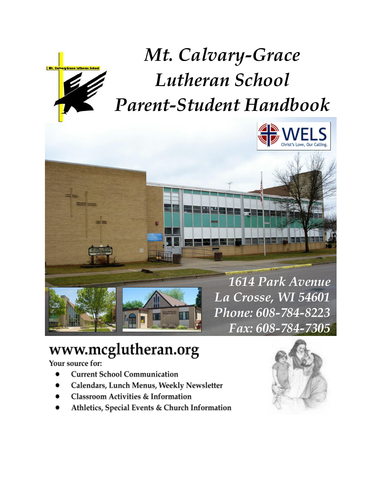

*Mt. Calvary-Grace Lutheran School Parent-Student Handbook*





# www.mcglutheran.org

Your source for:

- **Current School Communication**
- Calendars, Lunch Menus, Weekly Newsletter
- **Classroom Activities & Information**
- Athletics, Special Events & Church Information

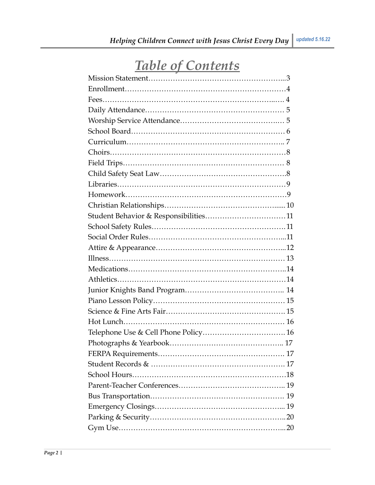# *Table of Contents*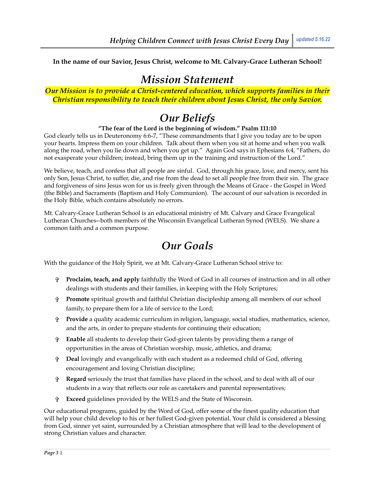# *Mission Statement*

### *Our Mission is to provide a Christ-centered education, which supports families in their Christian responsibility to teach their children about Jesus Christ, the only Savior.*

# *Our Beliefs*

### **"The fear of the Lord is the beginning of wisdom." Psalm 111:10**

God clearly tells us in Deuteronomy 6:6-7, "These commandments that I give you today are to be upon your hearts. Impress them on your children. Talk about them when you sit at home and when you walk along the road, when you lie down and when you get up." Again God says in Ephesians 6:4, "Fathers, do not exasperate your children; instead, bring them up in the training and instruction of the Lord."

We believe, teach, and confess that all people are sinful. God, through his grace, love, and mercy, sent his only Son, Jesus Christ, to suffer, die, and rise from the dead to set all people free from their sin. The grace and forgiveness of sins Jesus won for us is freely given through the Means of Grace - the Gospel in Word (the Bible) and Sacraments (Baptism and Holy Communion). The account of our salvation is recorded in the Holy Bible, which contains absolutely no errors.

Mt. Calvary-Grace Lutheran School is an educational ministry of Mt. Calvary and Grace Evangelical Lutheran Churches--both members of the Wisconsin Evangelical Lutheran Synod (WELS). We share a common faith and a common purpose.

# *Our Goals*

With the guidance of the Holy Spirit, we at Mt. Calvary-Grace Lutheran School strive to:

- ✞ **Proclaim, teach, and apply** faithfully the Word of God in all courses of instruction and in all other dealings with students and their families, in keeping with the Holy Scriptures;
- ✞ **Promote** spiritual growth and faithful Christian discipleship among all members of our school family, to prepare them for a life of service to the Lord;
- ✞ **Provide** a quality academic curriculum in religion, language, social studies, mathematics, science, and the arts, in order to prepare students for continuing their education;
- ✞ **Enable** all students to develop their God-given talents by providing them a range of opportunities in the areas of Christian worship, music, athletics, and drama;
- ✞ **Deal** lovingly and evangelically with each student as a redeemed child of God, offering encouragement and loving Christian discipline;
- ✞ **Regard** seriously the trust that families have placed in the school, and to deal with all of our students in a way that reflects our role as caretakers and parental representatives;
- ✞ **Exceed** guidelines provided by the WELS and the State of Wisconsin.

Our educational programs, guided by the Word of God, offer some of the finest quality education that will help your child develop to his or her fullest God-given potential. Your child is considered a blessing from God, sinner yet saint, surrounded by a Christian atmosphere that will lead to the development of strong Christian values and character.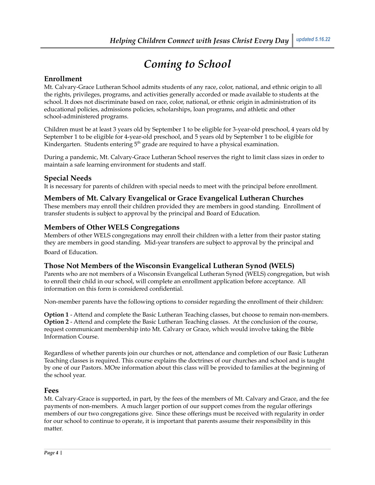# *Coming to School*

### **Enrollment**

Mt. Calvary-Grace Lutheran School admits students of any race, color, national, and ethnic origin to all the rights, privileges, programs, and activities generally accorded or made available to students at the school. It does not discriminate based on race, color, national, or ethnic origin in administration of its educational policies, admissions policies, scholarships, loan programs, and athletic and other school-administered programs.

Children must be at least 3 years old by September 1 to be eligible for 3-year-old preschool, 4 years old by September 1 to be eligible for 4-year-old preschool, and 5 years old by September 1 to be eligible for Kindergarten. Students entering  $5<sup>th</sup>$  grade are required to have a physical examination.

During a pandemic, Mt. Calvary-Grace Lutheran School reserves the right to limit class sizes in order to maintain a safe learning environment for students and staff.

### **Special Needs**

It is necessary for parents of children with special needs to meet with the principal before enrollment.

### **Members of Mt. Calvary Evangelical or Grace Evangelical Lutheran Churches**

These members may enroll their children provided they are members in good standing. Enrollment of transfer students is subject to approval by the principal and Board of Education.

### **Members of Other WELS Congregations**

Members of other WELS congregations may enroll their children with a letter from their pastor stating they are members in good standing. Mid-year transfers are subject to approval by the principal and

Board of Education.

### **Those Not Members of the Wisconsin Evangelical Lutheran Synod (WELS)**

Parents who are not members of a Wisconsin Evangelical Lutheran Synod (WELS) congregation, but wish to enroll their child in our school, will complete an enrollment application before acceptance. All information on this form is considered confidential.

Non-member parents have the following options to consider regarding the enrollment of their children:

**Option 1** - Attend and complete the Basic Lutheran Teaching classes, but choose to remain non-members. **Option 2** - Attend and complete the Basic Lutheran Teaching classes. At the conclusion of the course, request communicant membership into Mt. Calvary or Grace, which would involve taking the Bible Information Course.

Regardless of whether parents join our churches or not, attendance and completion of our Basic Lutheran Teaching classes is required. This course explains the doctrines of our churches and school and is taught by one of our Pastors. MOre information about this class will be provided to families at the beginning of the school year.

#### **Fees**

Mt. Calvary-Grace is supported, in part, by the fees of the members of Mt. Calvary and Grace, and the fee payments of non-members. A much larger portion of our support comes from the regular offerings members of our two congregations give. Since these offerings must be received with regularity in order for our school to continue to operate, it is important that parents assume their responsibility in this matter.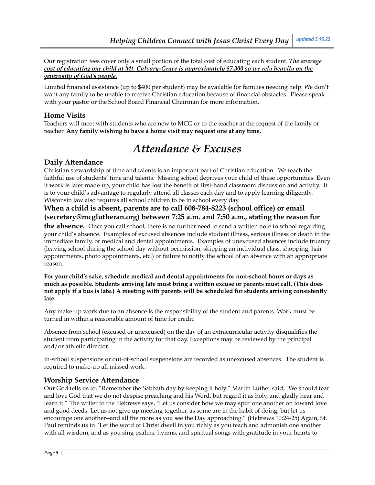Our registration fees cover only a small portion of the total cost of educating each student. *The average cost of educating one child at Mt. Calvary-Grace is approximately \$7,300 so we rely heavily on the generosity of God's people.*

Limited financial assistance (up to \$400 per student) may be available for families needing help. We don't want any family to be unable to receive Christian education because of financial obstacles. Please speak with your pastor or the School Board Financial Chairman for more information.

# **Home Visits**

Teachers will meet with students who are new to MCG or to the teacher at the request of the family or teacher. **Any family wishing to have a home visit may request one at any time.**

# *Attendance & Excuses*

### **Daily Attendance**

Christian stewardship of time and talents is an important part of Christian education. We teach the faithful use of students' time and talents. Missing school deprives your child of these opportunities. Even if work is later made up, your child has lost the benefit of first-hand classroom discussion and activity. It is to your child's advantage to regularly attend all classes each day and to apply learning diligently. Wisconsin law also requires all school children to be in school every day.

# **When a child is absent, parents are to call 608-784-8223 (school office) or email (secretary@mcglutheran.org) between 7:25 a.m. and 7:50 a.m., stating the reason for**

**the absence.** Once you call school, there is no further need to send a written note to school regarding your child's absence. Examples of excused absences include student illness, serious illness or death in the immediate family, or medical and dental appointments. Examples of unexcused absences include truancy (leaving school during the school day without permission, skipping an individual class, shopping, hair appointments, photo appointments, etc.) or failure to notify the school of an absence with an appropriate reason.

**For your child's sake, schedule medical and dental appointments for non-school hours or days as much as possible. Students arriving late must bring a written excuse or parents must call. (This does** not apply if a bus is late.) A meeting with parents will be scheduled for students arriving consistently **late.**

Any make-up work due to an absence is the responsibility of the student and parents. Work must be turned in within a reasonable amount of time for credit.

Absence from school (excused or unexcused) on the day of an extracurricular activity disqualifies the student from participating in the activity for that day. Exceptions may be reviewed by the principal and/or athletic director.

In-school suspensions or out-of-school suspensions are recorded as unexcused absences. The student is required to make-up all missed work.

# **Worship Service Attendance**

Our God tells us to, "Remember the Sabbath day by keeping it holy." Martin Luther said, "We should fear and love God that we do not despise preaching and his Word, but regard it as holy, and gladly hear and learn it." The writer to the Hebrews says, "Let us consider how we may spur one another on toward love and good deeds. Let us not give up meeting together, as some are in the habit of doing, but let us encourage one another--and all the more as you see the Day approaching." (Hebrews 10:24-25) Again, St. Paul reminds us to "Let the word of Christ dwell in you richly as you teach and admonish one another with all wisdom, and as you sing psalms, hymns, and spiritual songs with gratitude in your hearts to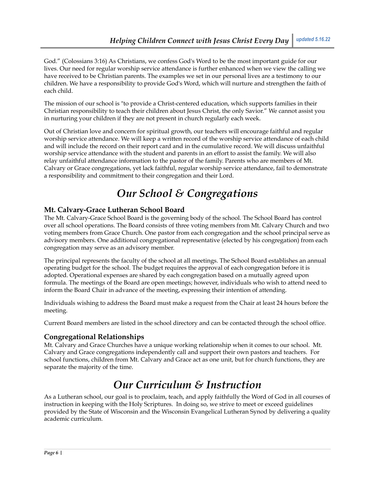God." (Colossians 3:16) As Christians, we confess God's Word to be the most important guide for our lives. Our need for regular worship service attendance is further enhanced when we view the calling we have received to be Christian parents. The examples we set in our personal lives are a testimony to our children. We have a responsibility to provide God's Word, which will nurture and strengthen the faith of each child.

The mission of our school is "to provide a Christ-centered education, which supports families in their Christian responsibility to teach their children about Jesus Christ, the only Savior." We cannot assist you in nurturing your children if they are not present in church regularly each week.

Out of Christian love and concern for spiritual growth, our teachers will encourage faithful and regular worship service attendance. We will keep a written record of the worship service attendance of each child and will include the record on their report card and in the cumulative record. We will discuss unfaithful worship service attendance with the student and parents in an effort to assist the family. We will also relay unfaithful attendance information to the pastor of the family. Parents who are members of Mt. Calvary or Grace congregations, yet lack faithful, regular worship service attendance, fail to demonstrate a responsibility and commitment to their congregation and their Lord.

# *Our School & Congregations*

### **Mt. Calvary-Grace Lutheran School Board**

The Mt. Calvary-Grace School Board is the governing body of the school. The School Board has control over all school operations. The Board consists of three voting members from Mt. Calvary Church and two voting members from Grace Church. One pastor from each congregation and the school principal serve as advisory members. One additional congregational representative (elected by his congregation) from each congregation may serve as an advisory member.

The principal represents the faculty of the school at all meetings. The School Board establishes an annual operating budget for the school. The budget requires the approval of each congregation before it is adopted. Operational expenses are shared by each congregation based on a mutually agreed upon formula. The meetings of the Board are open meetings; however, individuals who wish to attend need to inform the Board Chair in advance of the meeting, expressing their intention of attending.

Individuals wishing to address the Board must make a request from the Chair at least 24 hours before the meeting.

Current Board members are listed in the school directory and can be contacted through the school office.

### **Congregational Relationships**

Mt. Calvary and Grace Churches have a unique working relationship when it comes to our school. Mt. Calvary and Grace congregations independently call and support their own pastors and teachers. For school functions, children from Mt. Calvary and Grace act as one unit, but for church functions, they are separate the majority of the time.

# *Our Curriculum & Instruction*

As a Lutheran school, our goal is to proclaim, teach, and apply faithfully the Word of God in all courses of instruction in keeping with the Holy Scriptures. In doing so, we strive to meet or exceed guidelines provided by the State of Wisconsin and the Wisconsin Evangelical Lutheran Synod by delivering a quality academic curriculum.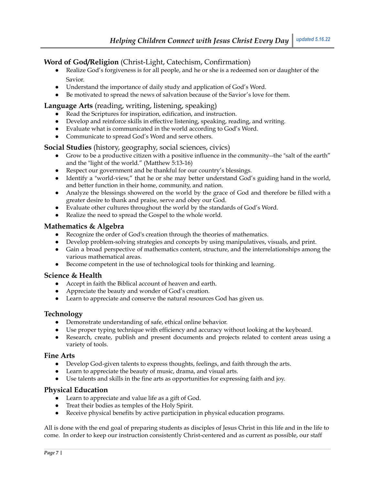# **Word of God/Religion** (Christ-Light, Catechism, Confirmation)

- Realize God's forgiveness is for all people, and he or she is a redeemed son or daughter of the Savior.
- Understand the importance of daily study and application of God's Word.
- Be motivated to spread the news of salvation because of the Savior's love for them.

### **Language Arts** (reading, writing, listening, speaking)

- Read the Scriptures for inspiration, edification, and instruction.
- Develop and reinforce skills in effective listening, speaking, reading, and writing.
- Evaluate what is communicated in the world according to God's Word.
- Communicate to spread God's Word and serve others.

### **Social Studies** (history, geography, social sciences, civics)

- Grow to be a productive citizen with a positive influence in the community--the "salt of the earth" and the "light of the world." (Matthew 5:13-16)
- Respect our government and be thankful for our country's blessings.
- Identify a "world-view," that he or she may better understand God's guiding hand in the world, and better function in their home, community, and nation.
- Analyze the blessings showered on the world by the grace of God and therefore be filled with a greater desire to thank and praise, serve and obey our God.
- Evaluate other cultures throughout the world by the standards of God's Word.
- Realize the need to spread the Gospel to the whole world.

### **Mathematics & Algebra**

- Recognize the order of God's creation through the theories of mathematics.
- Develop problem-solving strategies and concepts by using manipulatives, visuals, and print.
- Gain a broad perspective of mathematics content, structure, and the interrelationships among the various mathematical areas.
- Become competent in the use of technological tools for thinking and learning.

### **Science & Health**

- Accept in faith the Biblical account of heaven and earth.
- Appreciate the beauty and wonder of God's creation.
- Learn to appreciate and conserve the natural resources God has given us.

### **Technology**

- Demonstrate understanding of safe, ethical online behavior.
- Use proper typing technique with efficiency and accuracy without looking at the keyboard.
- Research, create, publish and present documents and projects related to content areas using a variety of tools.

#### **Fine Arts**

- Develop God-given talents to express thoughts, feelings, and faith through the arts.
- Learn to appreciate the beauty of music, drama, and visual arts.
- Use talents and skills in the fine arts as opportunities for expressing faith and joy.

### **Physical Education**

- Learn to appreciate and value life as a gift of God.
- Treat their bodies as temples of the Holy Spirit.
- Receive physical benefits by active participation in physical education programs.

All is done with the end goal of preparing students as disciples of Jesus Christ in this life and in the life to come. In order to keep our instruction consistently Christ-centered and as current as possible, our staff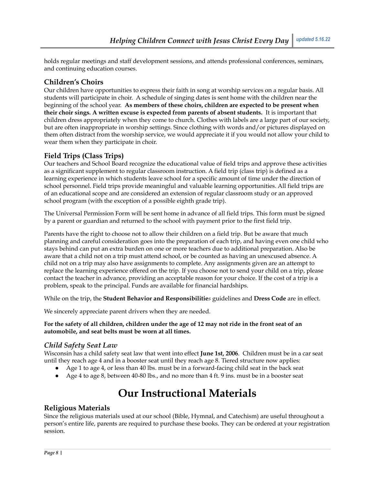holds regular meetings and staff development sessions, and attends professional conferences, seminars, and continuing education courses.

# **Children's Choirs**

Our children have opportunities to express their faith in song at worship services on a regular basis. All students will participate in choir. A schedule of singing dates is sent home with the children near the beginning of the school year. **As members of these choirs, children are expected to be present when their choir sings. A written excuse is expected from parents of absent students.** It is important that children dress appropriately when they come to church. Clothes with labels are a large part of our society, but are often inappropriate in worship settings. Since clothing with words and/or pictures displayed on them often distract from the worship service, we would appreciate it if you would not allow your child to wear them when they participate in choir.

# **Field Trips (Class Trips)**

Our teachers and School Board recognize the educational value of field trips and approve these activities as a significant supplement to regular classroom instruction. A field trip (class trip) is defined as a learning experience in which students leave school for a specific amount of time under the direction of school personnel. Field trips provide meaningful and valuable learning opportunities. All field trips are of an educational scope and are considered an extension of regular classroom study or an approved school program (with the exception of a possible eighth grade trip).

The Universal Permission Form will be sent home in advance of all field trips. This form must be signed by a parent or guardian and returned to the school with payment prior to the first field trip.

Parents have the right to choose not to allow their children on a field trip. But be aware that much planning and careful consideration goes into the preparation of each trip, and having even one child who stays behind can put an extra burden on one or more teachers due to additional preparation. Also be aware that a child not on a trip must attend school, or be counted as having an unexcused absence. A child not on a trip may also have assignments to complete. Any assignments given are an attempt to replace the learning experience offered on the trip. If you choose not to send your child on a trip, please contact the teacher in advance, providing an acceptable reason for your choice. If the cost of a trip is a problem, speak to the principal. Funds are available for financial hardships.

While on the trip, the **Student Behavior and Responsibilitie***s* guidelines and **Dress Code** are in effect.

We sincerely appreciate parent drivers when they are needed.

#### For the safety of all children, children under the age of 12 may not ride in the front seat of an **automobile, and seat belts must be worn at all times.**

### *Child Safety Seat Law*

Wisconsin has a child safety seat law that went into effect **June 1st, 2006**. Children must be in a car seat until they reach age 4 and in a booster seat until they reach age 8. Tiered structure now applies:

- Age 1 to age 4, or less than 40 lbs. must be in a forward-facing child seat in the back seat
- Age 4 to age 8, between 40-80 lbs., and no more than 4 ft. 9 ins. must be in a booster seat

# **Our Instructional Materials**

### **Religious Materials**

Since the religious materials used at our school (Bible, Hymnal, and Catechism) are useful throughout a person's entire life, parents are required to purchase these books. They can be ordered at your registration session.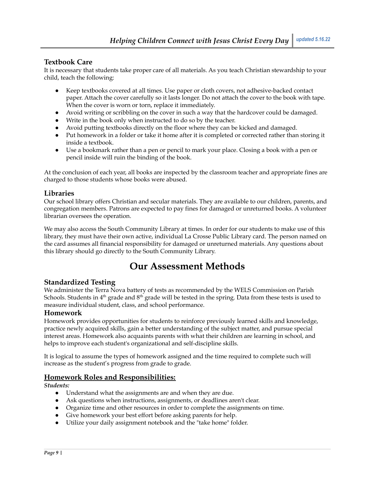### **Textbook Care**

It is necessary that students take proper care of all materials. As you teach Christian stewardship to your child, teach the following:

- Keep textbooks covered at all times. Use paper or cloth covers, not adhesive-backed contact paper. Attach the cover carefully so it lasts longer. Do not attach the cover to the book with tape. When the cover is worn or torn, replace it immediately.
- Avoid writing or scribbling on the cover in such a way that the hardcover could be damaged.
- Write in the book only when instructed to do so by the teacher.
- Avoid putting textbooks directly on the floor where they can be kicked and damaged.
- Put homework in a folder or take it home after it is completed or corrected rather than storing it inside a textbook.
- Use a bookmark rather than a pen or pencil to mark your place. Closing a book with a pen or pencil inside will ruin the binding of the book.

At the conclusion of each year, all books are inspected by the classroom teacher and appropriate fines are charged to those students whose books were abused.

### **Libraries**

Our school library offers Christian and secular materials. They are available to our children, parents, and congregation members. Patrons are expected to pay fines for damaged or unreturned books. A volunteer librarian oversees the operation.

We may also access the South Community Library at times. In order for our students to make use of this library, they must have their own active, individual La Crosse Public Library card. The person named on the card assumes all financial responsibility for damaged or unreturned materials. Any questions about this library should go directly to the South Community Library.

# **Our Assessment Methods**

### **Standardized Testing**

We administer the Terra Nova battery of tests as recommended by the WELS Commission on Parish Schools. Students in 4<sup>th</sup> grade and 8<sup>th</sup> grade will be tested in the spring. Data from these tests is used to measure individual student, class, and school performance.

### **Homework**

Homework provides opportunities for students to reinforce previously learned skills and knowledge, practice newly acquired skills, gain a better understanding of the subject matter, and pursue special interest areas. Homework also acquaints parents with what their children are learning in school, and helps to improve each student's organizational and self-discipline skills.

It is logical to assume the types of homework assigned and the time required to complete such will increase as the student's progress from grade to grade.

# **Homework Roles and Responsibilities:**

*Students:*

- Understand what the assignments are and when they are due.
- Ask questions when instructions, assignments, or deadlines aren't clear.
- Organize time and other resources in order to complete the assignments on time.
- Give homework your best effort before asking parents for help.
- Utilize your daily assignment notebook and the "take home" folder.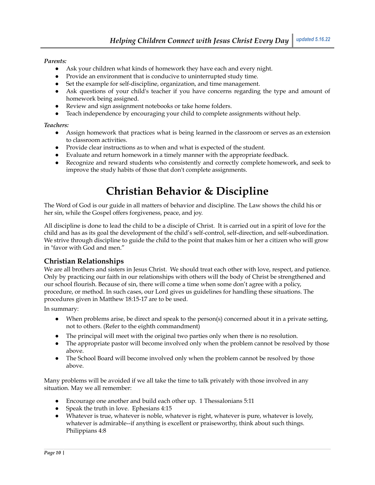#### *Parents:*

- Ask your children what kinds of homework they have each and every night.
- Provide an environment that is conducive to uninterrupted study time.
- Set the example for self-discipline, organization, and time management.
- Ask questions of your child's teacher if you have concerns regarding the type and amount of homework being assigned.
- Review and sign assignment notebooks or take home folders.
- Teach independence by encouraging your child to complete assignments without help.

#### *Teachers:*

- Assign homework that practices what is being learned in the classroom or serves as an extension to classroom activities.
- Provide clear instructions as to when and what is expected of the student.
- Evaluate and return homework in a timely manner with the appropriate feedback.
- Recognize and reward students who consistently and correctly complete homework, and seek to improve the study habits of those that don't complete assignments.

# **Christian Behavior & Discipline**

The Word of God is our guide in all matters of behavior and discipline. The Law shows the child his or her sin, while the Gospel offers forgiveness, peace, and joy.

All discipline is done to lead the child to be a disciple of Christ. It is carried out in a spirit of love for the child and has as its goal the development of the child's self-control, self-direction, and self-subordination. We strive through discipline to guide the child to the point that makes him or her a citizen who will grow in "favor with God and men."

# **Christian Relationships**

We are all brothers and sisters in Jesus Christ. We should treat each other with love, respect, and patience. Only by practicing our faith in our relationships with others will the body of Christ be strengthened and our school flourish. Because of sin, there will come a time when some don't agree with a policy, procedure, or method. In such cases, our Lord gives us guidelines for handling these situations. The procedures given in Matthew 18:15-17 are to be used.

In summary:

- When problems arise, be direct and speak to the person(s) concerned about it in a private setting, not to others. (Refer to the eighth commandment)
- The principal will meet with the original two parties only when there is no resolution.
- The appropriate pastor will become involved only when the problem cannot be resolved by those above.
- The School Board will become involved only when the problem cannot be resolved by those above.

Many problems will be avoided if we all take the time to talk privately with those involved in any situation. May we all remember:

- Encourage one another and build each other up. 1 Thessalonians 5:11
- Speak the truth in love. Ephesians 4:15
- Whatever is true, whatever is noble, whatever is right, whatever is pure, whatever is lovely, whatever is admirable--if anything is excellent or praiseworthy, think about such things. Philippians 4:8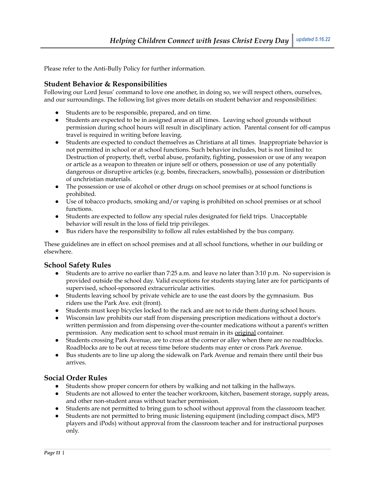Please refer to the Anti-Bully Policy for further information.

### **Student Behavior & Responsibilities**

Following our Lord Jesus' command to love one another, in doing so, we will respect others, ourselves, and our surroundings. The following list gives more details on student behavior and responsibilities:

- Students are to be responsible, prepared, and on time.
- Students are expected to be in assigned areas at all times. Leaving school grounds without permission during school hours will result in disciplinary action. Parental consent for off-campus travel is required in writing before leaving.
- Students are expected to conduct themselves as Christians at all times. Inappropriate behavior is not permitted in school or at school functions. Such behavior includes, but is not limited to: Destruction of property, theft, verbal abuse, profanity, fighting, possession or use of any weapon or article as a weapon to threaten or injure self or others, possession or use of any potentially dangerous or disruptive articles (e.g. bombs, firecrackers, snowballs), possession or distribution of unchristian materials.
- The possession or use of alcohol or other drugs on school premises or at school functions is prohibited.
- Use of tobacco products, smoking and/or vaping is prohibited on school premises or at school functions.
- Students are expected to follow any special rules designated for field trips. Unacceptable behavior will result in the loss of field trip privileges.
- Bus riders have the responsibility to follow all rules established by the bus company.

These guidelines are in effect on school premises and at all school functions, whether in our building or elsewhere.

#### **School Safety Rules**

- Students are to arrive no earlier than 7:25 a.m. and leave no later than 3:10 p.m. No supervision is provided outside the school day. Valid exceptions for students staying later are for participants of supervised, school-sponsored extracurricular activities.
- Students leaving school by private vehicle are to use the east doors by the gymnasium. Bus riders use the Park Ave. exit (front).
- Students must keep bicycles locked to the rack and are not to ride them during school hours.
- Wisconsin law prohibits our staff from dispensing prescription medications without a doctor's written permission and from dispensing over-the-counter medications without a parent's written permission. Any medication sent to school must remain in its original container.
- Students crossing Park Avenue, are to cross at the corner or alley when there are no roadblocks. Roadblocks are to be out at recess time before students may enter or cross Park Avenue.
- Bus students are to line up along the sidewalk on Park Avenue and remain there until their bus arrives.

### **Social Order Rules**

- Students show proper concern for others by walking and not talking in the hallways.
- Students are not allowed to enter the teacher workroom, kitchen, basement storage, supply areas, and other non-student areas without teacher permission.
- Students are not permitted to bring gum to school without approval from the classroom teacher.
- Students are not permitted to bring music listening equipment (including compact discs, MP3 players and iPods) without approval from the classroom teacher and for instructional purposes only.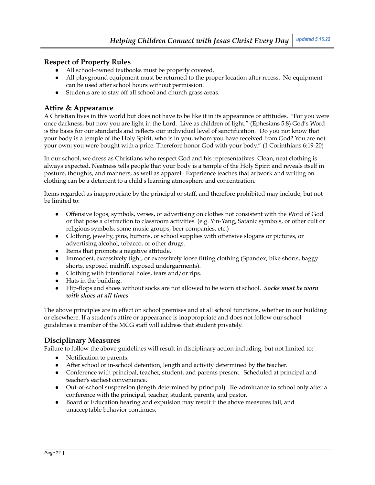### **Respect of Property Rules**

- All school-owned textbooks must be properly covered.
- All playground equipment must be returned to the proper location after recess. No equipment can be used after school hours without permission.
- Students are to stay off all school and church grass areas.

### **Attire & Appearance**

A Christian lives in this world but does not have to be like it in its appearance or attitudes. "For you were once darkness, but now you are light in the Lord. Live as children of light." (Ephesians 5:8) God's Word is the basis for our standards and reflects our individual level of sanctification. "Do you not know that your body is a temple of the Holy Spirit, who is in you, whom you have received from God? You are not your own; you were bought with a price. Therefore honor God with your body." (1 Corinthians 6:19-20)

In our school, we dress as Christians who respect God and his representatives. Clean, neat clothing is always expected. Neatness tells people that your body is a temple of the Holy Spirit and reveals itself in posture, thoughts, and manners, as well as apparel. Experience teaches that artwork and writing on clothing can be a deterrent to a child's learning atmosphere and concentration.

Items regarded as inappropriate by the principal or staff, and therefore prohibited may include, but not be limited to:

- Offensive logos, symbols, verses, or advertising on clothes not consistent with the Word of God or that pose a distraction to classroom activities. (e.g. Yin-Yang, Satanic symbols, or other cult or religious symbols, some music groups, beer companies, etc.)
- Clothing, jewelry, pins, buttons, or school supplies with offensive slogans or pictures, or advertising alcohol, tobacco, or other drugs.
- Items that promote a negative attitude.
- Immodest, excessively tight, or excessively loose fitting clothing (Spandex, bike shorts, baggy shorts, exposed midriff, exposed undergarments).
- Clothing with intentional holes, tears and/or rips.
- Hats in the building.
- **●** Flip-flops and shoes without socks are not allowed to be worn at school. *Socks must be worn with shoes at all times.*

The above principles are in effect on school premises and at all school functions, whether in our building or elsewhere. If a student's attire or appearance is inappropriate and does not follow our school guidelines a member of the MCG staff will address that student privately.

### **Disciplinary Measures**

Failure to follow the above guidelines will result in disciplinary action including, but not limited to:

- Notification to parents.
- After school or in-school detention, length and activity determined by the teacher.
- Conference with principal, teacher, student, and parents present. Scheduled at principal and teacher's earliest convenience.
- Out-of-school suspension (length determined by principal). Re-admittance to school only after a conference with the principal, teacher, student, parents, and pastor.
- Board of Education hearing and expulsion may result if the above measures fail, and unacceptable behavior continues.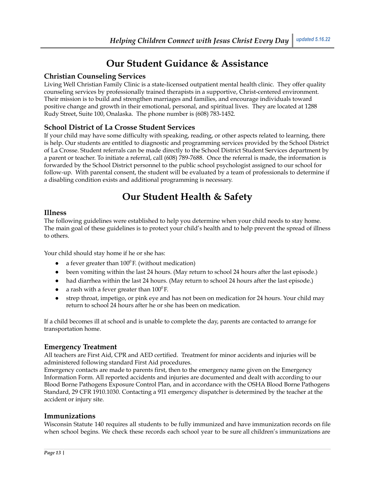# **Our Student Guidance & Assistance**

# **Christian Counseling Services**

Living Well Christian Family Clinic is a state-licensed outpatient mental health clinic. They offer quality counseling services by professionally trained therapists in a supportive, Christ-centered environment. Their mission is to build and strengthen marriages and families, and encourage individuals toward positive change and growth in their emotional, personal, and spiritual lives. They are located at 1288 Rudy Street, Suite 100, Onalaska. The phone number is (608) 783-1452.

# **School District of La Crosse Student Services**

If your child may have some difficulty with speaking, reading, or other aspects related to learning, there is help. Our students are entitled to diagnostic and programming services provided by the School District of La Crosse. Student referrals can be made directly to the School District Student Services department by a parent or teacher. To initiate a referral, call (608) 789-7688. Once the referral is made, the information is forwarded by the School District personnel to the public school psychologist assigned to our school for follow-up. With parental consent, the student will be evaluated by a team of professionals to determine if a disabling condition exists and additional programming is necessary.

# **Our Student Health & Safety**

#### **Illness**

The following guidelines were established to help you determine when your child needs to stay home. The main goal of these guidelines is to protect your child's health and to help prevent the spread of illness to others.

Your child should stay home if he or she has:

- a fever greater than  $100^{\circ}$  F. (without medication)
- been vomiting within the last 24 hours. (May return to school 24 hours after the last episode.)
- had diarrhea within the last 24 hours. (May return to school 24 hours after the last episode.)
- a rash with a fever greater than  $100^{\circ}$  F.
- strep throat, impetigo, or pink eye and has not been on medication for 24 hours. Your child may return to school 24 hours after he or she has been on medication.

If a child becomes ill at school and is unable to complete the day, parents are contacted to arrange for transportation home.

### **Emergency Treatment**

All teachers are First Aid, CPR and AED certified. Treatment for minor accidents and injuries will be administered following standard First Aid procedures.

Emergency contacts are made to parents first, then to the emergency name given on the Emergency Information Form. All reported accidents and injuries are documented and dealt with according to our Blood Borne Pathogens Exposure Control Plan, and in accordance with the OSHA Blood Borne Pathogens Standard, 29 CFR 1910.1030. Contacting a 911 emergency dispatcher is determined by the teacher at the accident or injury site.

### **Immunizations**

Wisconsin Statute 140 requires all students to be fully immunized and have immunization records on file when school begins. We check these records each school year to be sure all children's immunizations are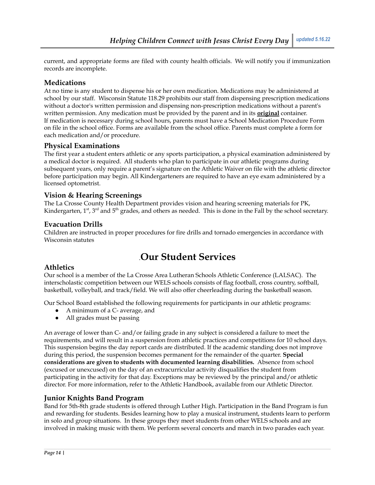current, and appropriate forms are filed with county health officials. We will notify you if immunization records are incomplete.

# **Medications**

At no time is any student to dispense his or her own medication. Medications may be administered at school by our staff. Wisconsin Statute 118.29 prohibits our staff from dispensing prescription medications without a doctor's written permission and dispensing non-prescription medications without a parent's written permission. Any medication must be provided by the parent and in its **original** container. If medication is necessary during school hours, parents must have a School Medication Procedure Form on file in the school office. Forms are available from the school office. Parents must complete a form for each medication and/or procedure.

# **Physical Examinations**

The first year a student enters athletic or any sports participation, a physical examination administered by a medical doctor is required. All students who plan to participate in our athletic programs during subsequent years, only require a parent's signature on the Athletic Waiver on file with the athletic director before participation may begin. All Kindergarteners are required to have an eye exam administered by a licensed optometrist.

# **Vision & Hearing Screenings**

The La Crosse County Health Department provides vision and hearing screening materials for PK, Kindergarten, 1<sup>st</sup>, 3<sup>rd</sup> and 5<sup>th</sup> grades, and others as needed. This is done in the Fall by the school secretary.

### **Evacuation Drills**

Children are instructed in proper procedures for fire drills and tornado emergencies in accordance with Wisconsin statutes

# .**Our Student Services**

# **Athletics**

Our school is a member of the La Crosse Area Lutheran Schools Athletic Conference (LALSAC). The interscholastic competition between our WELS schools consists of flag football, cross country, softball, basketball, volleyball, and track/field. We will also offer cheerleading during the basketball season.

Our School Board established the following requirements for participants in our athletic programs:

- A minimum of a C- average, and
- All grades must be passing

An average of lower than C- and/or failing grade in any subject is considered a failure to meet the requirements, and will result in a suspension from athletic practices and competitions for 10 school days. This suspension begins the day report cards are distributed. If the academic standing does not improve during this period, the suspension becomes permanent for the remainder of the quarter. **Special considerations are given to students with documented learning disabilities.** Absence from school (excused or unexcused) on the day of an extracurricular activity disqualifies the student from participating in the activity for that day. Exceptions may be reviewed by the principal and/or athletic director. For more information, refer to the Athletic Handbook, available from our Athletic Director.

# **Junior Knights Band Program**

Band for 5th-8th grade students is offered through Luther High. Participation in the Band Program is fun and rewarding for students. Besides learning how to play a musical instrument, students learn to perform in solo and group situations. In these groups they meet students from other WELS schools and are involved in making music with them. We perform several concerts and march in two parades each year.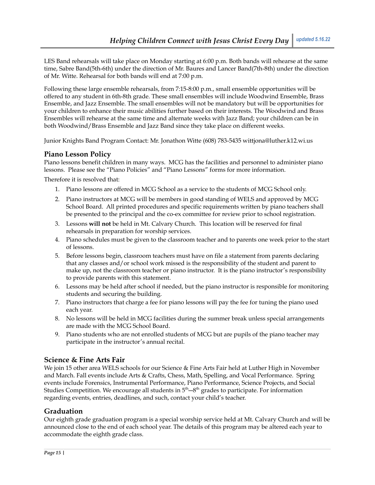LES Band rehearsals will take place on Monday starting at 6:00 p.m. Both bands will rehearse at the same time, Sabre Band(5th-6th) under the direction of Mr. Baures and Lancer Band(7th-8th) under the direction of Mr. Witte. Rehearsal for both bands will end at 7:00 p.m.

Following these large ensemble rehearsals, from 7:15-8:00 p.m., small ensemble opportunities will be offered to any student in 6th-8th grade. These small ensembles will include Woodwind Ensemble, Brass Ensemble, and Jazz Ensemble. The small ensembles will not be mandatory but will be opportunities for your children to enhance their music abilities further based on their interests. The Woodwind and Brass Ensembles will rehearse at the same time and alternate weeks with Jazz Band; your children can be in both Woodwind/Brass Ensemble and Jazz Band since they take place on different weeks.

Junior Knights Band Program Contact: Mr. Jonathon Witte (608) 783-5435 wittjona@luther.k12.wi.us

### **Piano Lesson Policy**

Piano lessons benefit children in many ways. MCG has the facilities and personnel to administer piano lessons. Please see the "Piano Policies" and "Piano Lessons" forms for more information.

Therefore it is resolved that:

- 1. Piano lessons are offered in MCG School as a service to the students of MCG School only.
- 2. Piano instructors at MCG will be members in good standing of WELS and approved by MCG School Board. All printed procedures and specific requirements written by piano teachers shall be presented to the principal and the co-ex committee for review prior to school registration.
- 3. Lessons **will not** be held in Mt. Calvary Church. This location will be reserved for final rehearsals in preparation for worship services.
- 4. Piano schedules must be given to the classroom teacher and to parents one week prior to the start of lessons.
- 5. Before lessons begin, classroom teachers must have on file a statement from parents declaring that any classes and/or school work missed is the responsibility of the student and parent to make up, not the classroom teacher or piano instructor. It is the piano instructor's responsibility to provide parents with this statement.
- 6. Lessons may be held after school if needed, but the piano instructor is responsible for monitoring students and securing the building.
- 7. Piano instructors that charge a fee for piano lessons will pay the fee for tuning the piano used each year.
- 8. No lessons will be held in MCG facilities during the summer break unless special arrangements are made with the MCG School Board.
- 9. Piano students who are not enrolled students of MCG but are pupils of the piano teacher may participate in the instructor's annual recital.

# **Science & Fine Arts Fair**

We join 15 other area WELS schools for our Science & Fine Arts Fair held at Luther High in November and March. Fall events include Arts & Crafts, Chess, Math, Spelling, and Vocal Performance. Spring events include Forensics, Instrumental Performance, Piano Performance, Science Projects, and Social Studies Competition. We encourage all students in  $5<sup>th</sup> - 8<sup>th</sup>$  grades to participate. For information regarding events, entries, deadlines, and such, contact your child's teacher.

# **Graduation**

Our eighth grade graduation program is a special worship service held at Mt. Calvary Church and will be announced close to the end of each school year. The details of this program may be altered each year to accommodate the eighth grade class.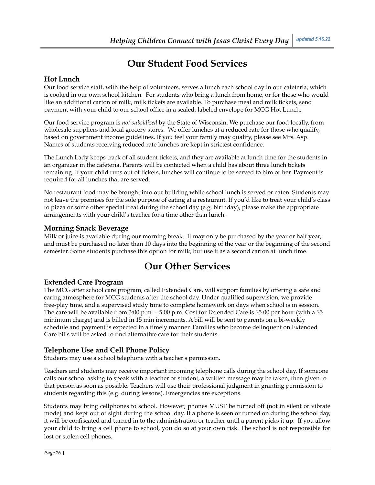# **Our Student Food Services**

### **Hot Lunch**

Our food service staff, with the help of volunteers, serves a lunch each school day in our cafeteria, which is cooked in our own school kitchen. For students who bring a lunch from home, or for those who would like an additional carton of milk, milk tickets are available. To purchase meal and milk tickets, send payment with your child to our school office in a sealed, labeled envelope for MCG Hot Lunch.

Our food service program is *not subsidized* by the State of Wisconsin. We purchase our food locally, from wholesale suppliers and local grocery stores. We offer lunches at a reduced rate for those who qualify, based on government income guidelines. If you feel your family may qualify, please see Mrs. Asp. Names of students receiving reduced rate lunches are kept in strictest confidence.

The Lunch Lady keeps track of all student tickets, and they are available at lunch time for the students in an organizer in the cafeteria. Parents will be contacted when a child has about three lunch tickets remaining. If your child runs out of tickets, lunches will continue to be served to him or her. Payment is required for all lunches that are served.

No restaurant food may be brought into our building while school lunch is served or eaten. Students may not leave the premises for the sole purpose of eating at a restaurant. If you'd like to treat your child's class to pizza or some other special treat during the school day (e.g. birthday), please make the appropriate arrangements with your child's teacher for a time other than lunch.

### **Morning Snack Beverage**

Milk or juice is available during our morning break. It may only be purchased by the year or half year, and must be purchased no later than 10 days into the beginning of the year or the beginning of the second semester. Some students purchase this option for milk, but use it as a second carton at lunch time.

# **Our Other Services**

### **Extended Care Program**

The MCG after school care program, called Extended Care, will support families by offering a safe and caring atmosphere for MCG students after the school day. Under qualified supervision, we provide free-play time, and a supervised study time to complete homework on days when school is in session. The care will be available from 3:00 p.m. – 5:00 p.m. Cost for Extended Care is \$5.00 per hour (with a \$5 minimum charge) and is billed in 15 min increments. A bill will be sent to parents on a bi-weekly schedule and payment is expected in a timely manner. Families who become delinquent on Extended Care bills will be asked to find alternative care for their students.

# **Telephone Use and Cell Phone Policy**

Students may use a school telephone with a teacher's permission.

Teachers and students may receive important incoming telephone calls during the school day. If someone calls our school asking to speak with a teacher or student, a written message may be taken, then given to that person as soon as possible. Teachers will use their professional judgment in granting permission to students regarding this (e.g. during lessons). Emergencies are exceptions.

Students may bring cellphones to school. However, phones MUST be turned off (not in silent or vibrate mode) and kept out of sight during the school day. If a phone is seen or turned on during the school day, it will be confiscated and turned in to the administration or teacher until a parent picks it up. If you allow your child to bring a cell phone to school, you do so at your own risk. The school is not responsible for lost or stolen cell phones.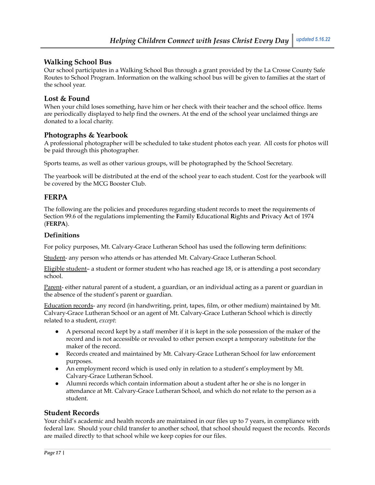### **Walking School Bus**

Our school participates in a Walking School Bus through a grant provided by the La Crosse County Safe Routes to School Program. Information on the walking school bus will be given to families at the start of the school year.

### **Lost & Found**

When your child loses something, have him or her check with their teacher and the school office. Items are periodically displayed to help find the owners. At the end of the school year unclaimed things are donated to a local charity.

#### **Photographs & Yearbook**

A professional photographer will be scheduled to take student photos each year. All costs for photos will be paid through this photographer.

Sports teams, as well as other various groups, will be photographed by the School Secretary.

The yearbook will be distributed at the end of the school year to each student. Cost for the yearbook will be covered by the MCG Booster Club.

### **FERPA**

The following are the policies and procedures regarding student records to meet the requirements of Section 99.6 of the regulations implementing the **F**amily **E**ducational **R**ights and **P**rivacy **A**ct of 1974 (**FERPA**).

#### **Definitions**

For policy purposes, Mt. Calvary-Grace Lutheran School has used the following term definitions:

Student- any person who attends or has attended Mt. Calvary-Grace Lutheran School.

Eligible student– a student or former student who has reached age 18, or is attending a post secondary school.

Parent- either natural parent of a student, a guardian, or an individual acting as a parent or guardian in the absence of the student's parent or guardian.

Education records- any record (in handwriting, print, tapes, film, or other medium) maintained by Mt. Calvary-Grace Lutheran School or an agent of Mt. Calvary-Grace Lutheran School which is directly related to a student, *except*:

- A personal record kept by a staff member if it is kept in the sole possession of the maker of the record and is not accessible or revealed to other person except a temporary substitute for the maker of the record.
- Records created and maintained by Mt. Calvary-Grace Lutheran School for law enforcement purposes.
- An employment record which is used only in relation to a student's employment by Mt. Calvary-Grace Lutheran School.
- Alumni records which contain information about a student after he or she is no longer in attendance at Mt. Calvary-Grace Lutheran School, and which do not relate to the person as a student.

#### **Student Records**

Your child's academic and health records are maintained in our files up to 7 years, in compliance with federal law. Should your child transfer to another school, that school should request the records. Records are mailed directly to that school while we keep copies for our files.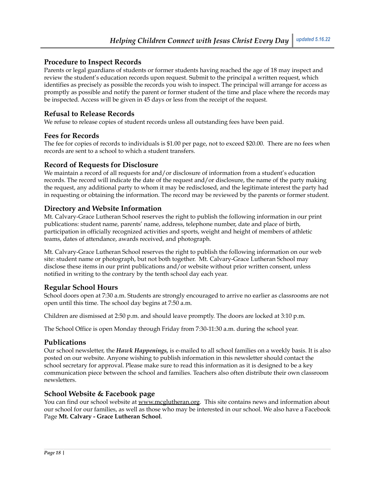### **Procedure to Inspect Records**

Parents or legal guardians of students or former students having reached the age of 18 may inspect and review the student's education records upon request. Submit to the principal a written request, which identifies as precisely as possible the records you wish to inspect. The principal will arrange for access as promptly as possible and notify the parent or former student of the time and place where the records may be inspected. Access will be given in 45 days or less from the receipt of the request.

### **Refusal to Release Records**

We refuse to release copies of student records unless all outstanding fees have been paid.

### **Fees for Records**

The fee for copies of records to individuals is \$1.00 per page, not to exceed \$20.00. There are no fees when records are sent to a school to which a student transfers.

### **Record of Requests for Disclosure**

We maintain a record of all requests for and/or disclosure of information from a student's education records. The record will indicate the date of the request and/or disclosure, the name of the party making the request, any additional party to whom it may be redisclosed, and the legitimate interest the party had in requesting or obtaining the information. The record may be reviewed by the parents or former student.

### **Directory and Website Information**

Mt. Calvary-Grace Lutheran School reserves the right to publish the following information in our print publications: student name, parents' name, address, telephone number, date and place of birth, participation in officially recognized activities and sports, weight and height of members of athletic teams, dates of attendance, awards received, and photograph.

Mt. Calvary-Grace Lutheran School reserves the right to publish the following information on our web site: student name or photograph, but not both together. Mt. Calvary-Grace Lutheran School may disclose these items in our print publications and/or website without prior written consent, unless notified in writing to the contrary by the tenth school day each year.

# **Regular School Hours**

School doors open at 7:30 a.m. Students are strongly encouraged to arrive no earlier as classrooms are not open until this time. The school day begins at 7:50 a.m.

Children are dismissed at 2:50 p.m. and should leave promptly. The doors are locked at 3:10 p.m.

The School Office is open Monday through Friday from 7:30-11:30 a.m. during the school year.

### **Publications**

Our school newsletter, the *Hawk Happenings,* is e-mailed to all school families on a weekly basis. It is also posted on our website. Anyone wishing to publish information in this newsletter should contact the school secretary for approval. Please make sure to read this information as it is designed to be a key communication piece between the school and families. Teachers also often distribute their own classroom newsletters.

### **School Website & Facebook page**

You can find our school website at [www.mcglutheran.org](http://www.mcglutheran.org). This site contains news and information about our school for our families, as well as those who may be interested in our school. We also have a Facebook Page **Mt. Calvary - Grace Lutheran School**.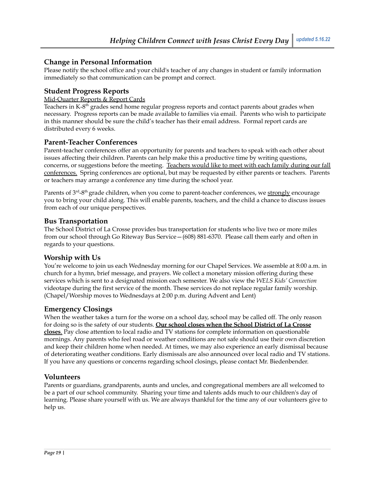### **Change in Personal Information**

Please notify the school office and your child's teacher of any changes in student or family information immediately so that communication can be prompt and correct.

### **Student Progress Reports**

#### Mid-Quarter Reports & Report Cards

Teachers in K-8<sup>th</sup> grades send home regular progress reports and contact parents about grades when necessary. Progress reports can be made available to families via email. Parents who wish to participate in this manner should be sure the child's teacher has their email address. Formal report cards are distributed every 6 weeks.

#### **Parent-Teacher Conferences**

Parent-teacher conferences offer an opportunity for parents and teachers to speak with each other about issues affecting their children. Parents can help make this a productive time by writing questions, concerns, or suggestions before the meeting. Teachers would like to meet with each family during our fall conferences. Spring conferences are optional, but may be requested by either parents or teachers. Parents or teachers may arrange a conference any time during the school year.

Parents of 3<sup>rd</sup>-8<sup>th</sup> grade children, when you come to parent-teacher conferences, we <u>strongly</u> encourage you to bring your child along. This will enable parents, teachers, and the child a chance to discuss issues from each of our unique perspectives.

#### **Bus Transportation**

The School District of La Crosse provides bus transportation for students who live two or more miles from our school through Go Riteway Bus Service—(608) 881-6370. Please call them early and often in regards to your questions.

### **Worship with Us**

You're welcome to join us each Wednesday morning for our Chapel Services. We assemble at 8:00 a.m. in church for a hymn, brief message, and prayers. We collect a monetary mission offering during these services which is sent to a designated mission each semester. We also view the *WELS Kids' Connection* videotape during the first service of the month. These services do not replace regular family worship. (Chapel/Worship moves to Wednesdays at 2:00 p.m. during Advent and Lent)

### **Emergency Closings**

When the weather takes a turn for the worse on a school day, school may be called off. The only reason for doing so is the safety of our students. **Our school closes when the School District of La Crosse closes**. Pay close attention to local radio and TV stations for complete information on questionable mornings. Any parents who feel road or weather conditions are not safe should use their own discretion and keep their children home when needed. At times, we may also experience an early dismissal because of deteriorating weather conditions. Early dismissals are also announced over local radio and TV stations. If you have any questions or concerns regarding school closings, please contact Mr. Biedenbender.

### **Volunteers**

Parents or guardians, grandparents, aunts and uncles, and congregational members are all welcomed to be a part of our school community. Sharing your time and talents adds much to our children's day of learning. Please share yourself with us. We are always thankful for the time any of our volunteers give to help us.